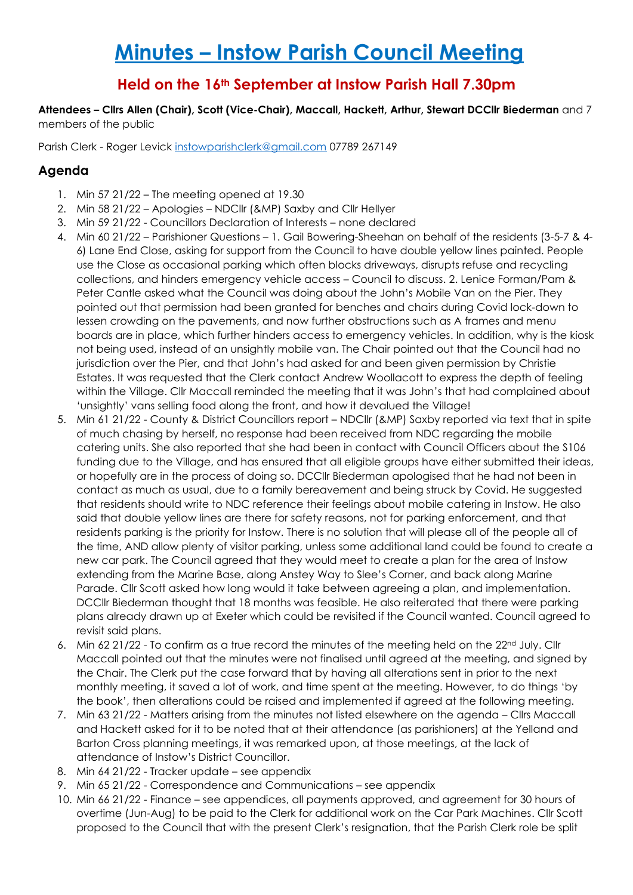# **Minutes – Instow Parish Council Meeting**

# **Held on the 16th September at Instow Parish Hall 7.30pm**

**Attendees – Cllrs Allen (Chair), Scott (Vice-Chair), Maccall, Hackett, Arthur, Stewart DCCllr Biederman** and 7 members of the public

Parish Clerk - Roger Levick [instowparishclerk@gmail.com](mailto:instowparishclerk@gmail.com) 07789 267149

## **Agenda**

- 1. Min 57 21/22 The meeting opened at 19.30
- 2. Min 58 21/22 Apologies NDCllr (&MP) Saxby and Cllr Hellyer
- 3. Min 59 21/22 Councillors Declaration of Interests none declared
- 4. Min 60 21/22 Parishioner Questions 1. Gail Bowering-Sheehan on behalf of the residents (3-5-7 & 4- 6) Lane End Close, asking for support from the Council to have double yellow lines painted. People use the Close as occasional parking which often blocks driveways, disrupts refuse and recycling collections, and hinders emergency vehicle access – Council to discuss. 2. Lenice Forman/Pam & Peter Cantle asked what the Council was doing about the John's Mobile Van on the Pier. They pointed out that permission had been granted for benches and chairs during Covid lock-down to lessen crowding on the pavements, and now further obstructions such as A frames and menu boards are in place, which further hinders access to emergency vehicles. In addition, why is the kiosk not being used, instead of an unsightly mobile van. The Chair pointed out that the Council had no jurisdiction over the Pier, and that John's had asked for and been given permission by Christie Estates. It was requested that the Clerk contact Andrew Woollacott to express the depth of feeling within the Village. Cllr Maccall reminded the meeting that it was John's that had complained about 'unsightly' vans selling food along the front, and how it devalued the Village!
- 5. Min 61 21/22 County & District Councillors report NDCllr (&MP) Saxby reported via text that in spite of much chasing by herself, no response had been received from NDC regarding the mobile catering units. She also reported that she had been in contact with Council Officers about the S106 funding due to the Village, and has ensured that all eligible groups have either submitted their ideas, or hopefully are in the process of doing so. DCCllr Biederman apologised that he had not been in contact as much as usual, due to a family bereavement and being struck by Covid. He suggested that residents should write to NDC reference their feelings about mobile catering in Instow. He also said that double yellow lines are there for safety reasons, not for parking enforcement, and that residents parking is the priority for Instow. There is no solution that will please all of the people all of the time, AND allow plenty of visitor parking, unless some additional land could be found to create a new car park. The Council agreed that they would meet to create a plan for the area of Instow extending from the Marine Base, along Anstey Way to Slee's Corner, and back along Marine Parade. Cllr Scott asked how long would it take between agreeing a plan, and implementation. DCCllr Biederman thought that 18 months was feasible. He also reiterated that there were parking plans already drawn up at Exeter which could be revisited if the Council wanted. Council agreed to revisit said plans.
- 6. Min 62 21/22 To confirm as a true record the minutes of the meeting held on the 22<sup>nd</sup> July. Cllr Maccall pointed out that the minutes were not finalised until agreed at the meeting, and signed by the Chair. The Clerk put the case forward that by having all alterations sent in prior to the next monthly meeting, it saved a lot of work, and time spent at the meeting. However, to do things 'by the book', then alterations could be raised and implemented if agreed at the following meeting.
- 7. Min 63 21/22 Matters arising from the minutes not listed elsewhere on the agenda Cllrs Maccall and Hackett asked for it to be noted that at their attendance (as parishioners) at the Yelland and Barton Cross planning meetings, it was remarked upon, at those meetings, at the lack of attendance of Instow's District Councillor.
- 8. Min 64 21/22 Tracker update see appendix
- 9. Min 65 21/22 Correspondence and Communications see appendix
- 10. Min 66 21/22 Finance see appendices, all payments approved, and agreement for 30 hours of overtime (Jun-Aug) to be paid to the Clerk for additional work on the Car Park Machines. Cllr Scott proposed to the Council that with the present Clerk's resignation, that the Parish Clerk role be split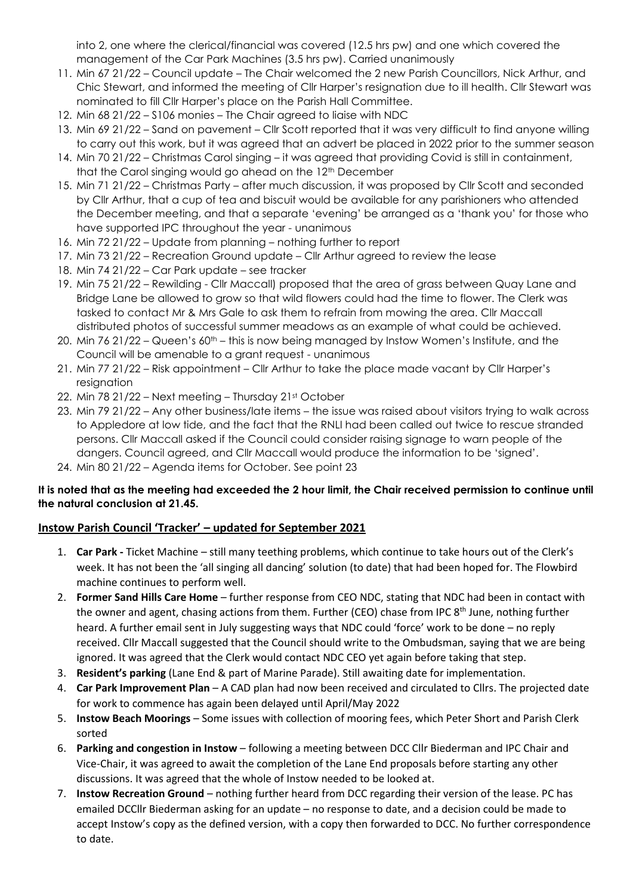into 2, one where the clerical/financial was covered (12.5 hrs pw) and one which covered the management of the Car Park Machines (3.5 hrs pw). Carried unanimously

- 11. Min 67 21/22 Council update The Chair welcomed the 2 new Parish Councillors, Nick Arthur, and Chic Stewart, and informed the meeting of Cllr Harper's resignation due to ill health. Cllr Stewart was nominated to fill Cllr Harper's place on the Parish Hall Committee.
- 12. Min 68 21/22 S106 monies The Chair agreed to liaise with NDC
- 13. Min 69 21/22 Sand on pavement Cllr Scott reported that it was very difficult to find anyone willing to carry out this work, but it was agreed that an advert be placed in 2022 prior to the summer season
- 14. Min 70 21/22 Christmas Carol singing it was agreed that providing Covid is still in containment, that the Carol singing would go ahead on the 12<sup>th</sup> December
- 15. Min 71 21/22 Christmas Party after much discussion, it was proposed by Cllr Scott and seconded by Cllr Arthur, that a cup of tea and biscuit would be available for any parishioners who attended the December meeting, and that a separate 'evening' be arranged as a 'thank you' for those who have supported IPC throughout the year - unanimous
- 16. Min 72 21/22 Update from planning nothing further to report
- 17. Min 73 21/22 Recreation Ground update Cllr Arthur agreed to review the lease
- 18. Min 74 21/22 Car Park update see tracker
- 19. Min 75 21/22 Rewilding Cllr Maccall) proposed that the area of grass between Quay Lane and Bridge Lane be allowed to grow so that wild flowers could had the time to flower. The Clerk was tasked to contact Mr & Mrs Gale to ask them to refrain from mowing the area. Cllr Maccall distributed photos of successful summer meadows as an example of what could be achieved.
- 20. Min 76 21/22 Queen's 60th this is now being managed by Instow Women's Institute, and the Council will be amenable to a grant request - unanimous
- 21. Min 77 21/22 Risk appointment Cllr Arthur to take the place made vacant by Cllr Harper's resignation
- 22. Min 78 21/22 Next meeting Thursday 21st October
- 23. Min 79 21/22 Any other business/late items the issue was raised about visitors trying to walk across to Appledore at low tide, and the fact that the RNLI had been called out twice to rescue stranded persons. Cllr Maccall asked if the Council could consider raising signage to warn people of the dangers. Council agreed, and Cllr Maccall would produce the information to be 'signed'.
- 24. Min 80 21/22 Agenda items for October. See point 23

## **It is noted that as the meeting had exceeded the 2 hour limit, the Chair received permission to continue until the natural conclusion at 21.45.**

## **Instow Parish Council 'Tracker' – updated for September 2021**

- 1. **Car Park -** Ticket Machine still many teething problems, which continue to take hours out of the Clerk's week. It has not been the 'all singing all dancing' solution (to date) that had been hoped for. The Flowbird machine continues to perform well.
- 2. **Former Sand Hills Care Home** further response from CEO NDC, stating that NDC had been in contact with the owner and agent, chasing actions from them. Further (CEO) chase from IPC 8<sup>th</sup> June, nothing further heard. A further email sent in July suggesting ways that NDC could 'force' work to be done – no reply received. Cllr Maccall suggested that the Council should write to the Ombudsman, saying that we are being ignored. It was agreed that the Clerk would contact NDC CEO yet again before taking that step.
- 3. **Resident's parking** (Lane End & part of Marine Parade). Still awaiting date for implementation.
- 4. **Car Park Improvement Plan** A CAD plan had now been received and circulated to Cllrs. The projected date for work to commence has again been delayed until April/May 2022
- 5. **Instow Beach Moorings** Some issues with collection of mooring fees, which Peter Short and Parish Clerk sorted
- 6. **Parking and congestion in Instow**  following a meeting between DCC Cllr Biederman and IPC Chair and Vice-Chair, it was agreed to await the completion of the Lane End proposals before starting any other discussions. It was agreed that the whole of Instow needed to be looked at.
- 7. **Instow Recreation Ground**  nothing further heard from DCC regarding their version of the lease. PC has emailed DCCllr Biederman asking for an update – no response to date, and a decision could be made to accept Instow's copy as the defined version, with a copy then forwarded to DCC. No further correspondence to date.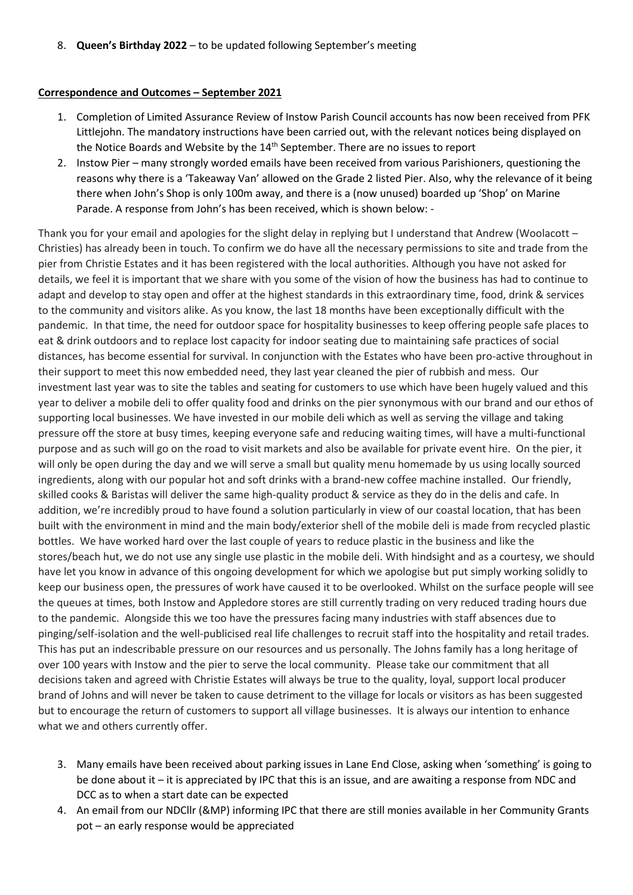8. **Queen's Birthday 2022** – to be updated following September's meeting

#### **Correspondence and Outcomes – September 2021**

- 1. Completion of Limited Assurance Review of Instow Parish Council accounts has now been received from PFK Littlejohn. The mandatory instructions have been carried out, with the relevant notices being displayed on the Notice Boards and Website by the 14<sup>th</sup> September. There are no issues to report
- 2. Instow Pier many strongly worded emails have been received from various Parishioners, questioning the reasons why there is a 'Takeaway Van' allowed on the Grade 2 listed Pier. Also, why the relevance of it being there when John's Shop is only 100m away, and there is a (now unused) boarded up 'Shop' on Marine Parade. A response from John's has been received, which is shown below: -

Thank you for your email and apologies for the slight delay in replying but I understand that Andrew (Woolacott – Christies) has already been in touch. To confirm we do have all the necessary permissions to site and trade from the pier from Christie Estates and it has been registered with the local authorities. Although you have not asked for details, we feel it is important that we share with you some of the vision of how the business has had to continue to adapt and develop to stay open and offer at the highest standards in this extraordinary time, food, drink & services to the community and visitors alike. As you know, the last 18 months have been exceptionally difficult with the pandemic. In that time, the need for outdoor space for hospitality businesses to keep offering people safe places to eat & drink outdoors and to replace lost capacity for indoor seating due to maintaining safe practices of social distances, has become essential for survival. In conjunction with the Estates who have been pro-active throughout in their support to meet this now embedded need, they last year cleaned the pier of rubbish and mess. Our investment last year was to site the tables and seating for customers to use which have been hugely valued and this year to deliver a mobile deli to offer quality food and drinks on the pier synonymous with our brand and our ethos of supporting local businesses. We have invested in our mobile deli which as well as serving the village and taking pressure off the store at busy times, keeping everyone safe and reducing waiting times, will have a multi-functional purpose and as such will go on the road to visit markets and also be available for private event hire. On the pier, it will only be open during the day and we will serve a small but quality menu homemade by us using locally sourced ingredients, along with our popular hot and soft drinks with a brand-new coffee machine installed. Our friendly, skilled cooks & Baristas will deliver the same high-quality product & service as they do in the delis and cafe. In addition, we're incredibly proud to have found a solution particularly in view of our coastal location, that has been built with the environment in mind and the main body/exterior shell of the mobile deli is made from recycled plastic bottles. We have worked hard over the last couple of years to reduce plastic in the business and like the stores/beach hut, we do not use any single use plastic in the mobile deli. With hindsight and as a courtesy, we should have let you know in advance of this ongoing development for which we apologise but put simply working solidly to keep our business open, the pressures of work have caused it to be overlooked. Whilst on the surface people will see the queues at times, both Instow and Appledore stores are still currently trading on very reduced trading hours due to the pandemic. Alongside this we too have the pressures facing many industries with staff absences due to pinging/self-isolation and the well-publicised real life challenges to recruit staff into the hospitality and retail trades. This has put an indescribable pressure on our resources and us personally. The Johns family has a long heritage of over 100 years with Instow and the pier to serve the local community. Please take our commitment that all decisions taken and agreed with Christie Estates will always be true to the quality, loyal, support local producer brand of Johns and will never be taken to cause detriment to the village for locals or visitors as has been suggested but to encourage the return of customers to support all village businesses. It is always our intention to enhance what we and others currently offer.

- 3. Many emails have been received about parking issues in Lane End Close, asking when 'something' is going to be done about it – it is appreciated by IPC that this is an issue, and are awaiting a response from NDC and DCC as to when a start date can be expected
- 4. An email from our NDCllr (&MP) informing IPC that there are still monies available in her Community Grants pot – an early response would be appreciated